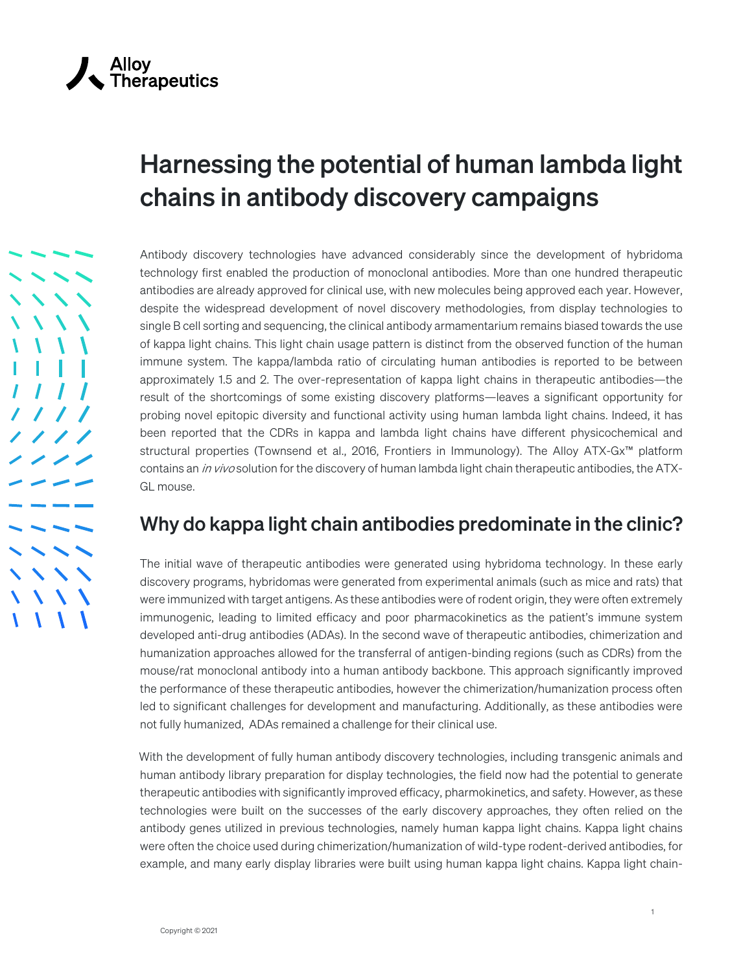## Harnessing the potential of human lambda light chains in antibody discovery campaigns

Antibody discovery technologies have advanced considerably since the development of hybridoma technology first enabled the production of monoclonal antibodies. More than one hundred therapeutic antibodies are already approved for clinical use, with new molecules being approved each year. However, despite the widespread development of novel discovery methodologies, from display technologies to single B cell sorting and sequencing, the clinical antibody armamentarium remains biased towards the use of kappa light chains. This light chain usage pattern is distinct from the observed function of the human immune system. The kappa/lambda ratio of circulating human antibodies is reported to be between approximately 1.5 and 2. The over-representation of kappa light chains in therapeutic antibodies—the result of the shortcomings of some existing discovery platforms—leaves a significant opportunity for probing novel epitopic diversity and functional activity using human lambda light chains. Indeed, it has been reported that the CDRs in kappa and lambda light chains have different physicochemical and structural properties (Townsend et al., 2016, Frontiers in Immunology). The Alloy ATX-Gx™ platform contains an *in vivo* solution for the discovery of human lambda light chain therapeutic antibodies, the ATX-GL mouse.

## Why do kappa light chain antibodies predominate in the clinic?

The initial wave of therapeutic antibodies were generated using hybridoma technology. In these early discovery programs, hybridomas were generated from experimental animals (such as mice and rats) that were immunized with target antigens. As these antibodies were of rodent origin, they were often extremely immunogenic, leading to limited efficacy and poor pharmacokinetics as the patient's immune system developed anti-drug antibodies (ADAs). In the second wave of therapeutic antibodies, chimerization and humanization approaches allowed for the transferral of antigen-binding regions (such as CDRs) from the mouse/rat monoclonal antibody into a human antibody backbone. This approach significantly improved the performance of these therapeutic antibodies, however the chimerization/humanization process often led to significant challenges for development and manufacturing. Additionally, as these antibodies were not fully humanized, ADAs remained a challenge for their clinical use.

With the development of fully human antibody discovery technologies, including transgenic animals and human antibody library preparation for display technologies, the field now had the potential to generate therapeutic antibodies with significantly improved efficacy, pharmokinetics, and safety. However, as these technologies were built on the successes of the early discovery approaches, they often relied on the antibody genes utilized in previous technologies, namely human kappa light chains. Kappa light chains were often the choice used during chimerization/humanization of wild-type rodent-derived antibodies, for example, and many early display libraries were built using human kappa light chains. Kappa light chain-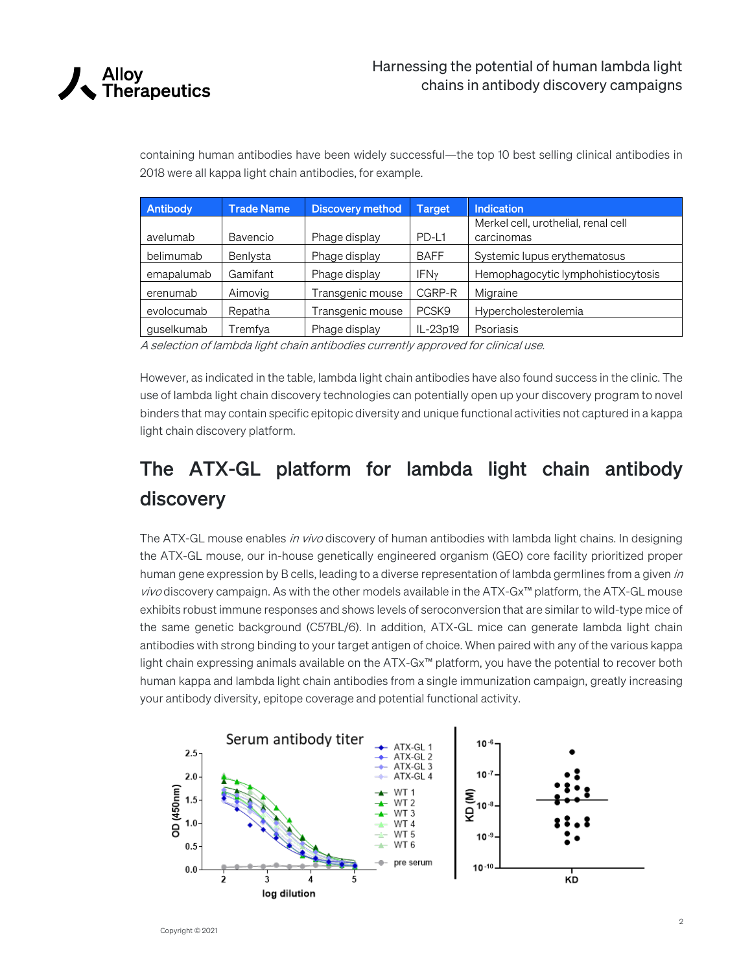

containing human antibodies have been widely successful—the top 10 best selling clinical antibodies in 2018 were all kappa light chain antibodies, for example.

| Antibody   | <b>Trade Name</b> | <b>Discovery method</b> | <b>Target</b>     | Indication                          |
|------------|-------------------|-------------------------|-------------------|-------------------------------------|
|            |                   |                         |                   | Merkel cell, urothelial, renal cell |
| avelumab   | Bavencio          | Phage display           | PD-L1             | carcinomas                          |
| belimumab  | Benlysta          | Phage display           | <b>BAFF</b>       | Systemic lupus erythematosus        |
| emapalumab | Gamifant          | Phage display           | IFN <sub>y</sub>  | Hemophagocytic lymphohistiocytosis  |
| erenumab   | Aimovig           | Transgenic mouse        | CGRP-R            | Migraine                            |
| evolocumab | Repatha           | Transgenic mouse        | PCSK <sub>9</sub> | Hypercholesterolemia                |
| guselkumab | Tremfya           | Phage display           | IL-23p19          | Psoriasis                           |

A selection of lambda light chain antibodies currently approved for clinical use.

However, as indicated in the table, lambda light chain antibodies have also found success in the clinic. The use of lambda light chain discovery technologies can potentially open up your discovery program to novel binders that may contain specific epitopic diversity and unique functional activities not captured in a kappa light chain discovery platform.

## The ATX-GL platform for lambda light chain antibody discovery

The ATX-GL mouse enables *in vivo* discovery of human antibodies with lambda light chains. In designing the ATX-GL mouse, our in-house genetically engineered organism (GEO) core facility prioritized proper human gene expression by B cells, leading to a diverse representation of lambda germlines from a given in *vivo* discovery campaign. As with the other models available in the ATX-Gx™ platform, the ATX-GL mouse exhibits robust immune responses and shows levels of seroconversion that are similar to wild-type mice of the same genetic background (C57BL/6). In addition, ATX-GL mice can generate lambda light chain antibodies with strong binding to your target antigen of choice. When paired with any of the various kappa light chain expressing animals available on the ATX-Gx™ platform, you have the potential to recover both human kappa and lambda light chain antibodies from a single immunization campaign, greatly increasing your antibody diversity, epitope coverage and potential functional activity.